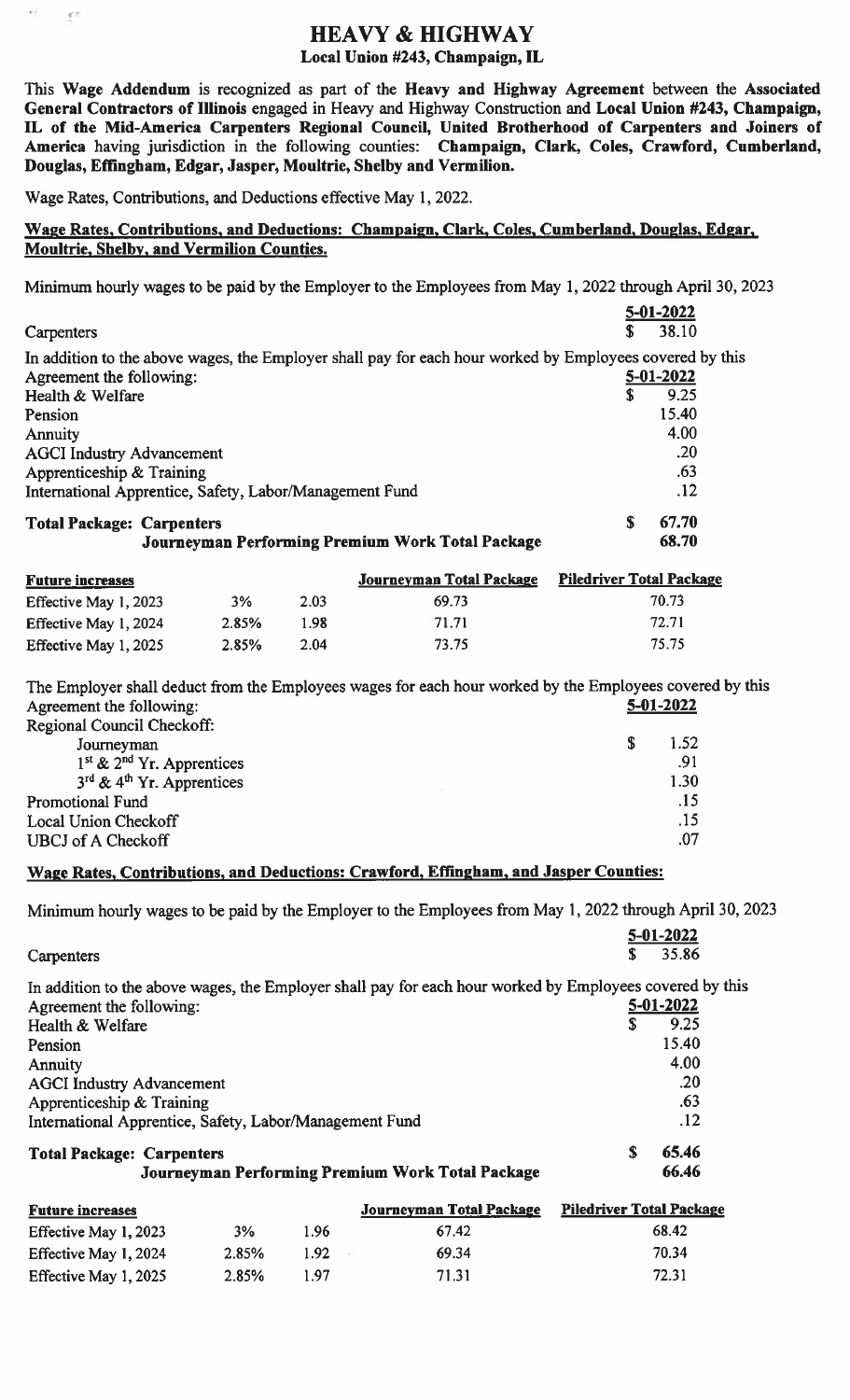# HEAVY & HIGHWAY

#### Local Union #243, Champaign, IL

This Wage Addendum is recognized as part of the Heavy and Highway Agreement between the Associated General Contractors of Jllinois engaged in Heavy and Highway Construction and Local Union #243, Champaign, IL of the Mid-America Carpenters Regional Council, United Brotherhood of Carpenters and Joiners of America having jurisdiction in the following counties: Champaign, Clark, Coles, Crawford, Cumberland, Douglas, Effingham, Edgar, Jasper, Moultrie, Shelby and Vermilion.

Wage Rates, Contributions, and Deductions effective May 1, 2022.

 $\mathbf{z}$  ).

 $\mathcal{E}^{\mathcal{E}}$ 

### Wage Rates, Contributions, and Deductions: Champaign, Clark, Coles, Cumberland, Douglas, Edgar, Moultrie, Shelby, and Vermilion Counties.

Minimum hourly wages to be paid by the Employer to the Employees from May 1, 2022 through April 30, 2023

|                                                                                                          |                                 | 5-01-2022 |  |
|----------------------------------------------------------------------------------------------------------|---------------------------------|-----------|--|
| Carpenters                                                                                               |                                 | 38.10     |  |
| In addition to the above wages, the Employer shall pay for each hour worked by Employees covered by this |                                 |           |  |
| Agreement the following:                                                                                 |                                 | 5-01-2022 |  |
| Health & Welfare                                                                                         | S                               | 9.25      |  |
| Pension                                                                                                  |                                 | 15.40     |  |
| Annuity                                                                                                  |                                 | 4.00      |  |
| <b>AGCI Industry Advancement</b>                                                                         |                                 | .20       |  |
| Apprenticeship & Training                                                                                |                                 | .63       |  |
| International Apprentice, Safety, Labor/Management Fund                                                  |                                 | .12       |  |
| <b>Total Package: Carpenters</b>                                                                         | £.                              | 67.70     |  |
| Journeyman Performing Premium Work Total Package                                                         |                                 | 68.70     |  |
| <b>Journeyman Total Package</b><br><b>Future increases</b>                                               | <b>Piledriver Total Package</b> |           |  |

| <b>Future increases</b> |       |      | Journeyman Total Package | Piledriver Total Package |
|-------------------------|-------|------|--------------------------|--------------------------|
| Effective May 1, 2023   | 3%    | 2.03 | 69.73                    | 70.73                    |
| Effective May 1, 2024   | 2.85% | 1.98 | 71.71                    | 72.71                    |
| Effective May 1, 2025   | 2.85% | 2.04 | 73.75                    | 75.75                    |

The Employer shall deduct from the Employees wages for each hour worked by the Employees covered by this Agreement the following: 5-01-2022

| Regional Council Checkoff:                 |      |
|--------------------------------------------|------|
| Journeyman                                 | 1.52 |
| $1st$ & $2nd$ Yr. Apprentices              | .91  |
| $3^{rd}$ & 4 <sup>th</sup> Yr. Apprentices | 1.30 |
| <b>Promotional Fund</b>                    | .15  |
| Local Union Checkoff                       | .15  |
| <b>UBCJ</b> of A Checkoff                  | .07  |

## Wage Rates, Contributions, and Deductions: Crawford, Effingham, and Jasper Counties:

Minimum hourly wages to be paid by the Employer to the Employees from May 1,2022 through April 30, 2023

|                                                         |       |      |                                                                                                          |   | 5-01-2022                       |
|---------------------------------------------------------|-------|------|----------------------------------------------------------------------------------------------------------|---|---------------------------------|
| Carpenters                                              |       |      |                                                                                                          |   | 35.86                           |
|                                                         |       |      | In addition to the above wages, the Employer shall pay for each hour worked by Employees covered by this |   |                                 |
| Agreement the following:                                |       |      |                                                                                                          |   | 5-01-2022                       |
| Health & Welfare                                        |       |      |                                                                                                          | S | 9.25                            |
| Pension                                                 |       |      |                                                                                                          |   | 15.40                           |
| Annuity                                                 |       |      |                                                                                                          |   | 4.00                            |
| <b>AGCI Industry Advancement</b>                        |       |      |                                                                                                          |   | .20                             |
| Apprenticeship & Training                               |       |      |                                                                                                          |   | .63                             |
| International Apprentice, Safety, Labor/Management Fund |       |      |                                                                                                          |   | .12                             |
| <b>Total Package: Carpenters</b>                        |       |      |                                                                                                          | S | 65.46                           |
|                                                         |       |      | Journeyman Performing Premium Work Total Package                                                         |   | 66.46                           |
| <b>Future increases</b>                                 |       |      | <b>Journeyman Total Package</b>                                                                          |   | <b>Piledriver Total Package</b> |
| Effective May 1, 2023                                   | 3%    | 1.96 | 67.42                                                                                                    |   | 68.42                           |
| Effective May 1, 2024                                   | 2.85% | 1.92 | 69.34                                                                                                    |   | 70.34                           |

Effective May 1, 2025 2.85% 1.97 71.31 72.31